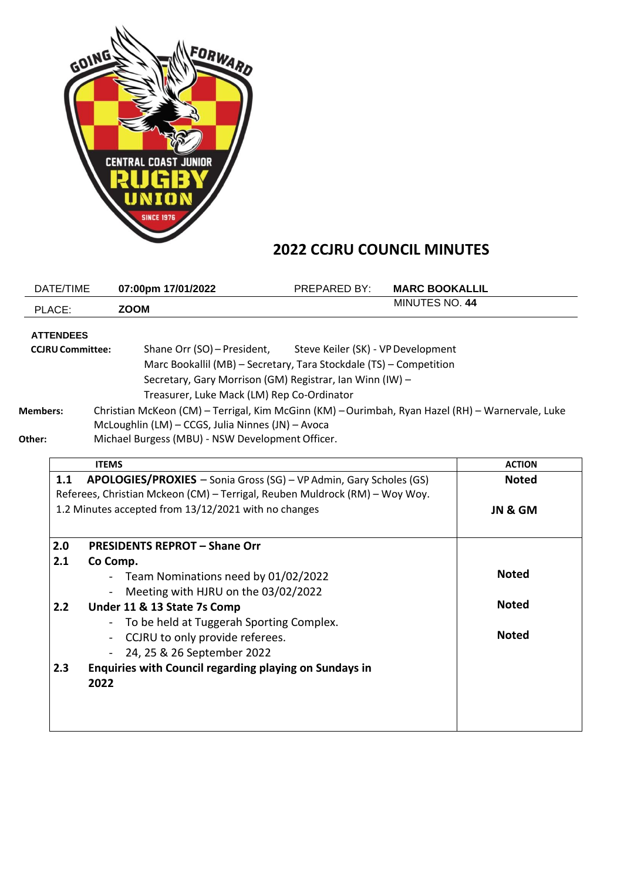

## **2022 CCJRU COUNCIL MINUTES**

| DATE/TIME                                                                | 07:00pm 17/01/2022                                                                                                                                                                                                                                                                                                                                                                                                       | PREPARED BY:                       | <b>MARC BOOKALLIL</b> |                         |
|--------------------------------------------------------------------------|--------------------------------------------------------------------------------------------------------------------------------------------------------------------------------------------------------------------------------------------------------------------------------------------------------------------------------------------------------------------------------------------------------------------------|------------------------------------|-----------------------|-------------------------|
| PLACE:                                                                   | <b>ZOOM</b>                                                                                                                                                                                                                                                                                                                                                                                                              |                                    | MINUTES NO. 44        |                         |
| <b>ATTENDEES</b><br><b>CCJRU Committee:</b><br><b>Members:</b><br>Other: | Shane Orr (SO) - President,<br>Marc Bookallil (MB) - Secretary, Tara Stockdale (TS) - Competition<br>Secretary, Gary Morrison (GM) Registrar, Ian Winn (IW) -<br>Treasurer, Luke Mack (LM) Rep Co-Ordinator<br>Christian McKeon (CM) - Terrigal, Kim McGinn (KM) - Ourimbah, Ryan Hazel (RH) - Warnervale, Luke<br>McLoughlin (LM) - CCGS, Julia Ninnes (JN) - Avoca<br>Michael Burgess (MBU) - NSW Development Officer. | Steve Keiler (SK) - VP Development |                       |                         |
|                                                                          | <b>ITEMS</b>                                                                                                                                                                                                                                                                                                                                                                                                             |                                    |                       | <b>ACTION</b>           |
| 1.1                                                                      | APOLOGIES/PROXIES - Sonia Gross (SG) - VP Admin, Gary Scholes (GS)<br>Referees, Christian Mckeon (CM) - Terrigal, Reuben Muldrock (RM) - Woy Woy.<br>1.2 Minutes accepted from 13/12/2021 with no changes                                                                                                                                                                                                                |                                    |                       | <b>Noted</b><br>JN & GM |
| 2.0                                                                      | <b>PRESIDENTS REPROT - Shane Orr</b>                                                                                                                                                                                                                                                                                                                                                                                     |                                    |                       |                         |
| 2.1                                                                      | Co Comp.<br>- Team Nominations need by 01/02/2022<br>Meeting with HJRU on the 03/02/2022                                                                                                                                                                                                                                                                                                                                 |                                    |                       | <b>Noted</b>            |
| 2.2                                                                      | Under 11 & 13 State 7s Comp                                                                                                                                                                                                                                                                                                                                                                                              |                                    |                       | <b>Noted</b>            |
|                                                                          | To be held at Tuggerah Sporting Complex.<br>CCJRU to only provide referees.<br>$\blacksquare$<br>24, 25 & 26 September 2022                                                                                                                                                                                                                                                                                              |                                    |                       | <b>Noted</b>            |
| 2.3                                                                      | Enquiries with Council regarding playing on Sundays in<br>2022                                                                                                                                                                                                                                                                                                                                                           |                                    |                       |                         |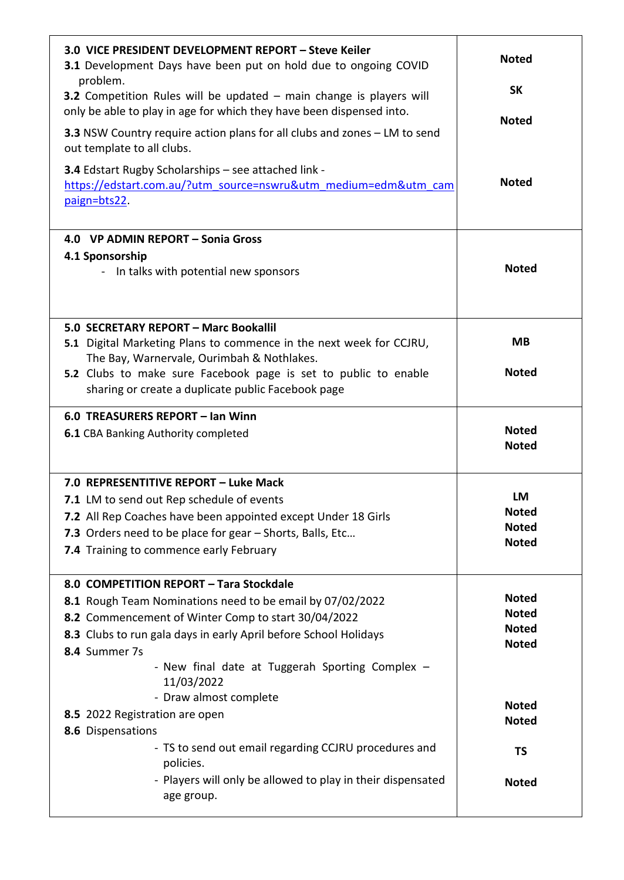| 3.0 VICE PRESIDENT DEVELOPMENT REPORT - Steve Keiler<br>3.1 Development Days have been put on hold due to ongoing COVID<br>problem.<br><b>3.2</b> Competition Rules will be updated $-$ main change is players will<br>only be able to play in age for which they have been dispensed into.<br>3.3 NSW Country require action plans for all clubs and zones - LM to send<br>out template to all clubs.<br>3.4 Edstart Rugby Scholarships - see attached link -<br>https://edstart.com.au/?utm_source=nswru&utm_medium=edm&utm_cam<br>paign=bts22. | <b>Noted</b><br><b>SK</b><br><b>Noted</b><br><b>Noted</b> |
|---------------------------------------------------------------------------------------------------------------------------------------------------------------------------------------------------------------------------------------------------------------------------------------------------------------------------------------------------------------------------------------------------------------------------------------------------------------------------------------------------------------------------------------------------|-----------------------------------------------------------|
| 4.0 VP ADMIN REPORT - Sonia Gross<br>4.1 Sponsorship<br>- In talks with potential new sponsors                                                                                                                                                                                                                                                                                                                                                                                                                                                    | <b>Noted</b>                                              |
| 5.0 SECRETARY REPORT - Marc Bookallil<br>5.1 Digital Marketing Plans to commence in the next week for CCJRU,<br>The Bay, Warnervale, Ourimbah & Nothlakes.                                                                                                                                                                                                                                                                                                                                                                                        | <b>MB</b>                                                 |
| 5.2 Clubs to make sure Facebook page is set to public to enable<br>sharing or create a duplicate public Facebook page                                                                                                                                                                                                                                                                                                                                                                                                                             | <b>Noted</b>                                              |
| 6.0 TREASURERS REPORT - Ian Winn<br><b>6.1 CBA Banking Authority completed</b>                                                                                                                                                                                                                                                                                                                                                                                                                                                                    | <b>Noted</b><br><b>Noted</b>                              |
| 7.0 REPRESENTITIVE REPORT - Luke Mack<br>7.1 LM to send out Rep schedule of events                                                                                                                                                                                                                                                                                                                                                                                                                                                                | LM                                                        |
| 7.2 All Rep Coaches have been appointed except Under 18 Girls                                                                                                                                                                                                                                                                                                                                                                                                                                                                                     | <b>Noted</b>                                              |
| 7.3 Orders need to be place for gear - Shorts, Balls, Etc                                                                                                                                                                                                                                                                                                                                                                                                                                                                                         | <b>Noted</b>                                              |
| 7.4 Training to commence early February                                                                                                                                                                                                                                                                                                                                                                                                                                                                                                           | <b>Noted</b>                                              |
| 8.0 COMPETITION REPORT - Tara Stockdale                                                                                                                                                                                                                                                                                                                                                                                                                                                                                                           | <b>Noted</b>                                              |
| 8.1 Rough Team Nominations need to be email by 07/02/2022<br>8.2 Commencement of Winter Comp to start 30/04/2022                                                                                                                                                                                                                                                                                                                                                                                                                                  | <b>Noted</b>                                              |
| 8.3 Clubs to run gala days in early April before School Holidays                                                                                                                                                                                                                                                                                                                                                                                                                                                                                  | <b>Noted</b>                                              |
| 8.4 Summer 7s                                                                                                                                                                                                                                                                                                                                                                                                                                                                                                                                     | <b>Noted</b>                                              |
| - New final date at Tuggerah Sporting Complex -<br>11/03/2022                                                                                                                                                                                                                                                                                                                                                                                                                                                                                     |                                                           |
| - Draw almost complete<br>8.5 2022 Registration are open                                                                                                                                                                                                                                                                                                                                                                                                                                                                                          | <b>Noted</b>                                              |
| 8.6 Dispensations                                                                                                                                                                                                                                                                                                                                                                                                                                                                                                                                 | <b>Noted</b>                                              |
| - TS to send out email regarding CCJRU procedures and<br>policies.                                                                                                                                                                                                                                                                                                                                                                                                                                                                                | <b>TS</b>                                                 |
| - Players will only be allowed to play in their dispensated<br>age group.                                                                                                                                                                                                                                                                                                                                                                                                                                                                         | <b>Noted</b>                                              |